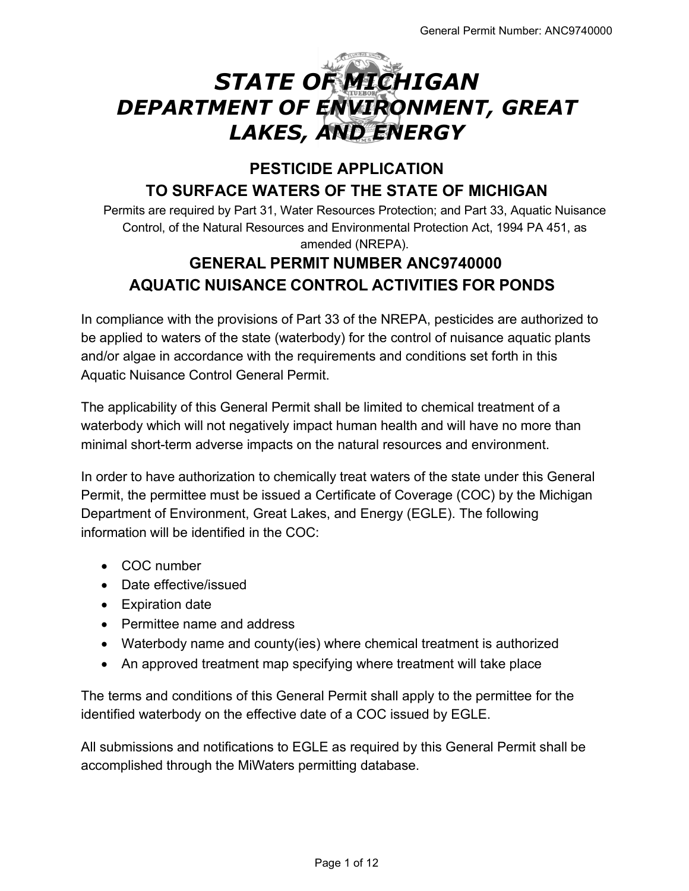# *STATE OF MICHIGAN DEPARTMENT OF ENVIRONMENT, GREAT LAKES, AND ENERGY*

# **PESTICIDE APPLICATION TO SURFACE WATERS OF THE STATE OF MICHIGAN**

Permits are required by Part 31, Water Resources Protection; and Part 33, Aquatic Nuisance Control, of the Natural Resources and Environmental Protection Act, 1994 PA 451, as amended (NREPA).

# **GENERAL PERMIT NUMBER ANC9740000 AQUATIC NUISANCE CONTROL ACTIVITIES FOR PONDS**

In compliance with the provisions of Part 33 of the NREPA, pesticides are authorized to be applied to waters of the state (waterbody) for the control of nuisance aquatic plants and/or algae in accordance with the requirements and conditions set forth in this Aquatic Nuisance Control General Permit.

The applicability of this General Permit shall be limited to chemical treatment of a waterbody which will not negatively impact human health and will have no more than minimal short-term adverse impacts on the natural resources and environment.

In order to have authorization to chemically treat waters of the state under this General Permit, the permittee must be issued a Certificate of Coverage (COC) by the Michigan Department of Environment, Great Lakes, and Energy (EGLE). The following information will be identified in the COC:

- COC number
- Date effective/issued
- Expiration date
- Permittee name and address
- Waterbody name and county(ies) where chemical treatment is authorized
- An approved treatment map specifying where treatment will take place

The terms and conditions of this General Permit shall apply to the permittee for the identified waterbody on the effective date of a COC issued by EGLE.

All submissions and notifications to EGLE as required by this General Permit shall be accomplished through the MiWaters permitting database.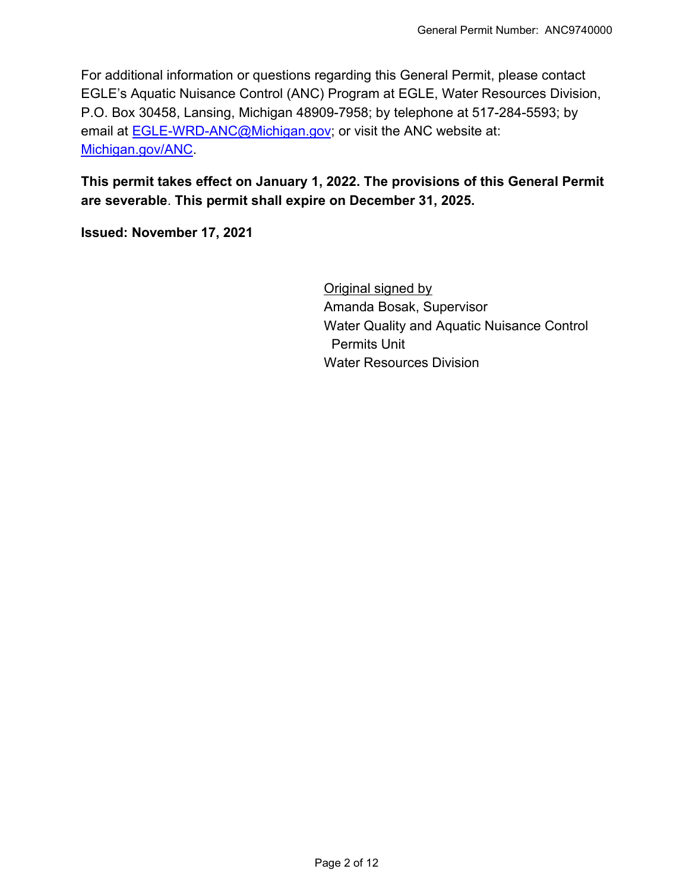For additional information or questions regarding this General Permit, please contact EGLE's Aquatic Nuisance Control (ANC) Program at EGLE, Water Resources Division, P.O. Box 30458, Lansing, Michigan 48909-7958; by telephone at 517-284-5593; by email at **EGLE-WRD-ANC@Michigan.gov**; or visit the ANC website at: [Michigan.gov/ANC.](http://www.michigan.gov/anc)

# **This permit takes effect on January 1, 2022. The provisions of this General Permit are severable**. **This permit shall expire on December 31, 2025.**

**Issued: November 17, 2021**

Original signed by Amanda Bosak, Supervisor Water Quality and Aquatic Nuisance Control Permits Unit Water Resources Division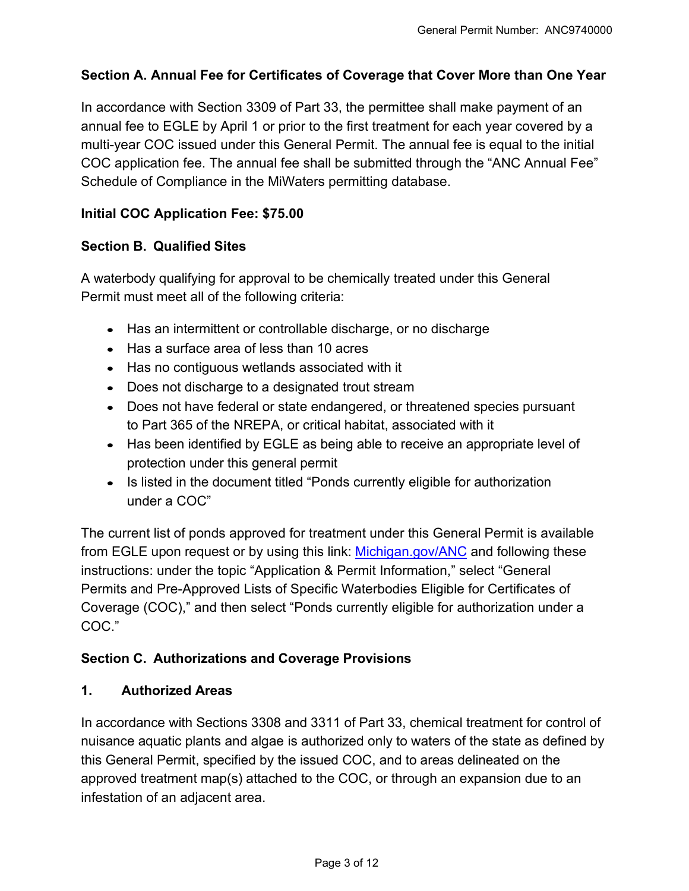# **Section A. Annual Fee for Certificates of Coverage that Cover More than One Year**

In accordance with Section 3309 of Part 33, the permittee shall make payment of an annual fee to EGLE by April 1 or prior to the first treatment for each year covered by a multi-year COC issued under this General Permit. The annual fee is equal to the initial COC application fee. The annual fee shall be submitted through the "ANC Annual Fee" Schedule of Compliance in the MiWaters permitting database.

#### **Initial COC Application Fee: \$75.00**

#### **Section B. Qualified Sites**

A waterbody qualifying for approval to be chemically treated under this General Permit must meet all of the following criteria:

- Has an intermittent or controllable discharge, or no discharge
- Has a surface area of less than 10 acres
- Has no contiguous wetlands associated with it
- Does not discharge to a designated trout stream
- Does not have federal or state endangered, or threatened species pursuant to Part 365 of the NREPA, or critical habitat, associated with it
- Has been identified by EGLE as being able to receive an appropriate level of protection under this general permit
- Is listed in the document titled "Ponds currently eligible for authorization under a COC"

The current list of ponds approved for treatment under this General Permit is available from EGLE upon request or by using this link: [Michigan.gov/ANC](http://www.michigan.gov/anc) and following these instructions: under the topic "Application & Permit Information," select "General Permits and Pre-Approved Lists of Specific Waterbodies Eligible for Certificates of Coverage (COC)," and then select "Ponds currently eligible for authorization under a COC."

#### **Section C. Authorizations and Coverage Provisions**

#### **1. Authorized Areas**

In accordance with Sections 3308 and 3311 of Part 33, chemical treatment for control of nuisance aquatic plants and algae is authorized only to waters of the state as defined by this General Permit, specified by the issued COC, and to areas delineated on the approved treatment map(s) attached to the COC, or through an expansion due to an infestation of an adjacent area.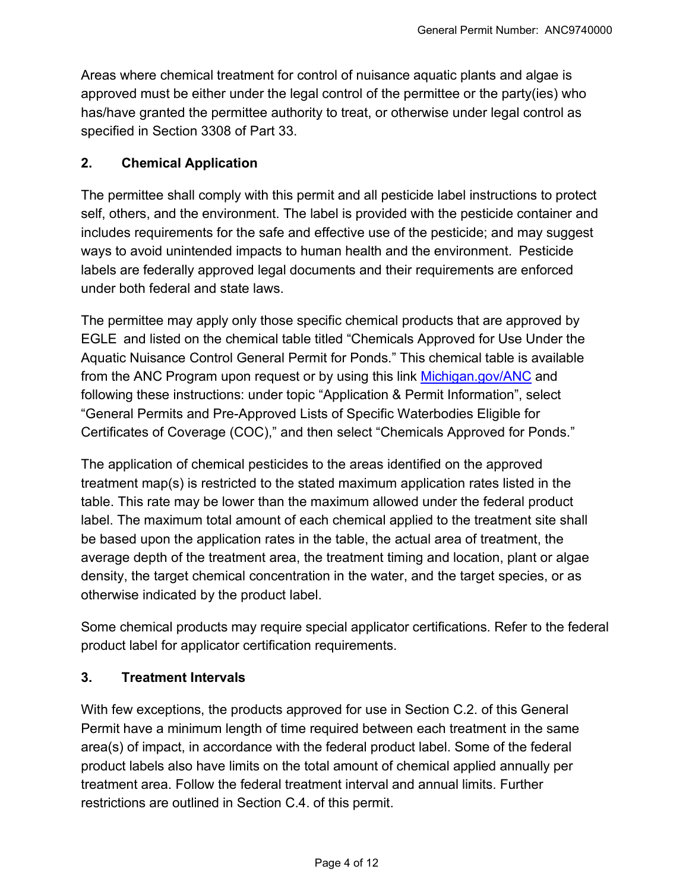Areas where chemical treatment for control of nuisance aquatic plants and algae is approved must be either under the legal control of the permittee or the party(ies) who has/have granted the permittee authority to treat, or otherwise under legal control as specified in Section 3308 of Part 33.

#### **2. Chemical Application**

The permittee shall comply with this permit and all pesticide label instructions to protect self, others, and the environment. The label is provided with the pesticide container and includes requirements for the safe and effective use of the pesticide; and may suggest ways to avoid unintended impacts to human health and the environment. Pesticide labels are federally approved legal documents and their requirements are enforced under both federal and state laws.

The permittee may apply only those specific chemical products that are approved by EGLE and listed on the chemical table titled "Chemicals Approved for Use Under the Aquatic Nuisance Control General Permit for Ponds." This chemical table is available from the ANC Program upon request or by using this link [Michigan.gov/ANC](https://www.michigan.gov/egle/0,9429,7-135-3313_3681_3710---,00.html) and following these instructions: under topic "Application & Permit Information", select "General Permits and Pre-Approved Lists of Specific Waterbodies Eligible for Certificates of Coverage (COC)," and then select "Chemicals Approved for Ponds."

The application of chemical pesticides to the areas identified on the approved treatment map(s) is restricted to the stated maximum application rates listed in the table. This rate may be lower than the maximum allowed under the federal product label. The maximum total amount of each chemical applied to the treatment site shall be based upon the application rates in the table, the actual area of treatment, the average depth of the treatment area, the treatment timing and location, plant or algae density, the target chemical concentration in the water, and the target species, or as otherwise indicated by the product label.

Some chemical products may require special applicator certifications. Refer to the federal product label for applicator certification requirements.

#### **3. Treatment Intervals**

With few exceptions, the products approved for use in Section C.2. of this General Permit have a minimum length of time required between each treatment in the same area(s) of impact, in accordance with the federal product label. Some of the federal product labels also have limits on the total amount of chemical applied annually per treatment area. Follow the federal treatment interval and annual limits. Further restrictions are outlined in Section C.4. of this permit.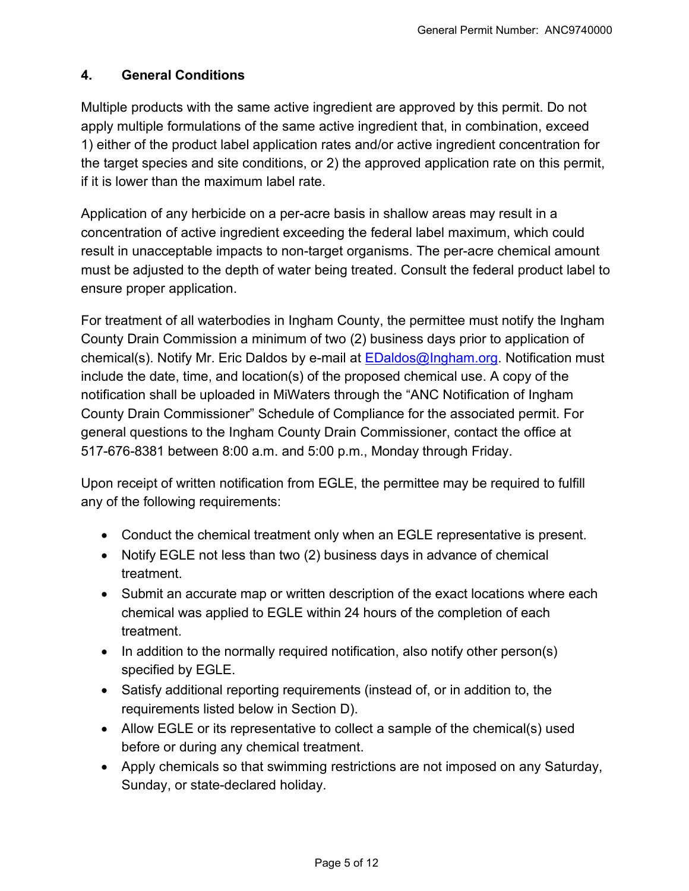# **4. General Conditions**

Multiple products with the same active ingredient are approved by this permit. Do not apply multiple formulations of the same active ingredient that, in combination, exceed 1) either of the product label application rates and/or active ingredient concentration for the target species and site conditions, or 2) the approved application rate on this permit, if it is lower than the maximum label rate.

Application of any herbicide on a per-acre basis in shallow areas may result in a concentration of active ingredient exceeding the federal label maximum, which could result in unacceptable impacts to non-target organisms. The per-acre chemical amount must be adjusted to the depth of water being treated. Consult the federal product label to ensure proper application.

For treatment of all waterbodies in Ingham County, the permittee must notify the Ingham County Drain Commission a minimum of two (2) business days prior to application of chemical(s). Notify Mr. Eric Daldos by e-mail at **EDaldos@Ingham.org.** Notification must include the date, time, and location(s) of the proposed chemical use. A copy of the notification shall be uploaded in MiWaters through the "ANC Notification of Ingham County Drain Commissioner" Schedule of Compliance for the associated permit. For general questions to the Ingham County Drain Commissioner, contact the office at 517-676-8381 between 8:00 a.m. and 5:00 p.m., Monday through Friday.

Upon receipt of written notification from EGLE, the permittee may be required to fulfill any of the following requirements:

- Conduct the chemical treatment only when an EGLE representative is present.
- Notify EGLE not less than two (2) business days in advance of chemical treatment.
- Submit an accurate map or written description of the exact locations where each chemical was applied to EGLE within 24 hours of the completion of each treatment.
- $\bullet$  In addition to the normally required notification, also notify other person(s) specified by EGLE.
- Satisfy additional reporting requirements (instead of, or in addition to, the requirements listed below in Section D).
- Allow EGLE or its representative to collect a sample of the chemical(s) used before or during any chemical treatment.
- Apply chemicals so that swimming restrictions are not imposed on any Saturday, Sunday, or state-declared holiday.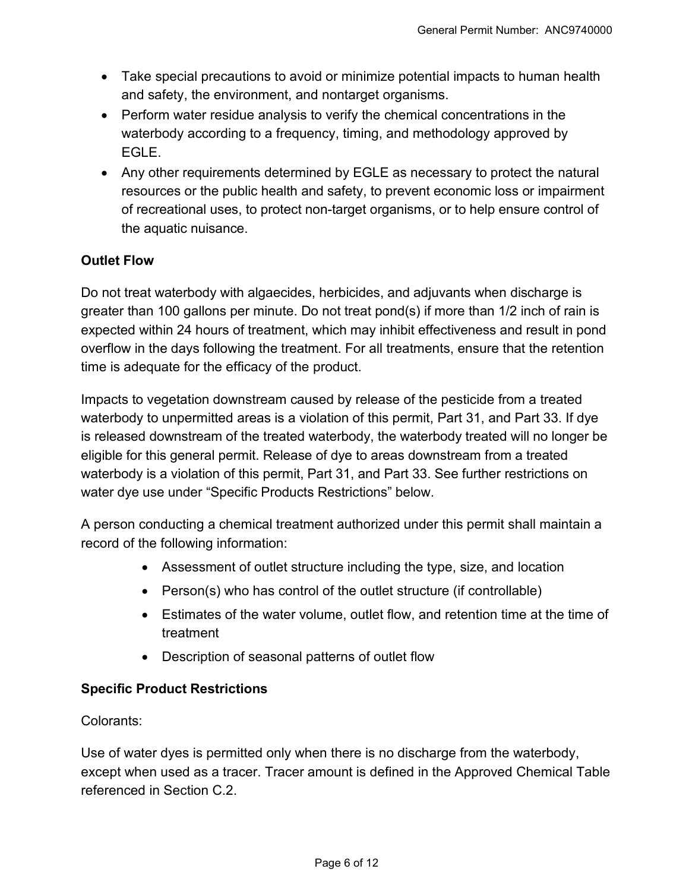- Take special precautions to avoid or minimize potential impacts to human health and safety, the environment, and nontarget organisms.
- Perform water residue analysis to verify the chemical concentrations in the waterbody according to a frequency, timing, and methodology approved by EGLE.
- Any other requirements determined by EGLE as necessary to protect the natural resources or the public health and safety, to prevent economic loss or impairment of recreational uses, to protect non-target organisms, or to help ensure control of the aquatic nuisance.

# **Outlet Flow**

Do not treat waterbody with algaecides, herbicides, and adjuvants when discharge is greater than 100 gallons per minute. Do not treat pond(s) if more than 1/2 inch of rain is expected within 24 hours of treatment, which may inhibit effectiveness and result in pond overflow in the days following the treatment. For all treatments, ensure that the retention time is adequate for the efficacy of the product.

Impacts to vegetation downstream caused by release of the pesticide from a treated waterbody to unpermitted areas is a violation of this permit, Part 31, and Part 33. If dye is released downstream of the treated waterbody, the waterbody treated will no longer be eligible for this general permit. Release of dye to areas downstream from a treated waterbody is a violation of this permit, Part 31, and Part 33. See further restrictions on water dye use under "Specific Products Restrictions" below.

A person conducting a chemical treatment authorized under this permit shall maintain a record of the following information:

- Assessment of outlet structure including the type, size, and location
- Person(s) who has control of the outlet structure (if controllable)
- Estimates of the water volume, outlet flow, and retention time at the time of treatment
- Description of seasonal patterns of outlet flow

# **Specific Product Restrictions**

#### Colorants:

Use of water dyes is permitted only when there is no discharge from the waterbody, except when used as a tracer. Tracer amount is defined in the Approved Chemical Table referenced in Section C.2.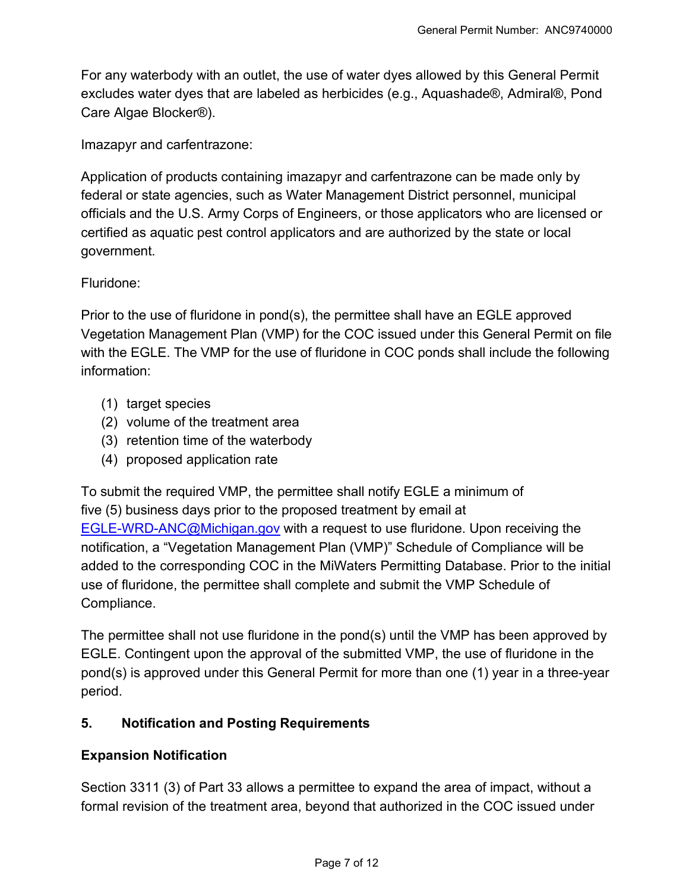For any waterbody with an outlet, the use of water dyes allowed by this General Permit excludes water dyes that are labeled as herbicides (e.g., Aquashade®, Admiral®, Pond Care Algae Blocker®).

Imazapyr and carfentrazone:

Application of products containing imazapyr and carfentrazone can be made only by federal or state agencies, such as Water Management District personnel, municipal officials and the U.S. Army Corps of Engineers, or those applicators who are licensed or certified as aquatic pest control applicators and are authorized by the state or local government.

#### Fluridone:

Prior to the use of fluridone in pond(s), the permittee shall have an EGLE approved Vegetation Management Plan (VMP) for the COC issued under this General Permit on file with the EGLE. The VMP for the use of fluridone in COC ponds shall include the following information:

- (1) target species
- (2) volume of the treatment area
- (3) retention time of the waterbody
- (4) proposed application rate

To submit the required VMP, the permittee shall notify EGLE a minimum of five (5) business days prior to the proposed treatment by email at [EGLE-WRD-ANC@Michigan.gov](mailto:EGLE-WRD-ANC@Michigan.gov) with a request to use fluridone. Upon receiving the notification, a "Vegetation Management Plan (VMP)" Schedule of Compliance will be added to the corresponding COC in the MiWaters Permitting Database. Prior to the initial use of fluridone, the permittee shall complete and submit the VMP Schedule of Compliance.

The permittee shall not use fluridone in the pond(s) until the VMP has been approved by EGLE. Contingent upon the approval of the submitted VMP, the use of fluridone in the pond(s) is approved under this General Permit for more than one (1) year in a three-year period.

#### **5. Notification and Posting Requirements**

#### **Expansion Notification**

Section 3311 (3) of Part 33 allows a permittee to expand the area of impact, without a formal revision of the treatment area, beyond that authorized in the COC issued under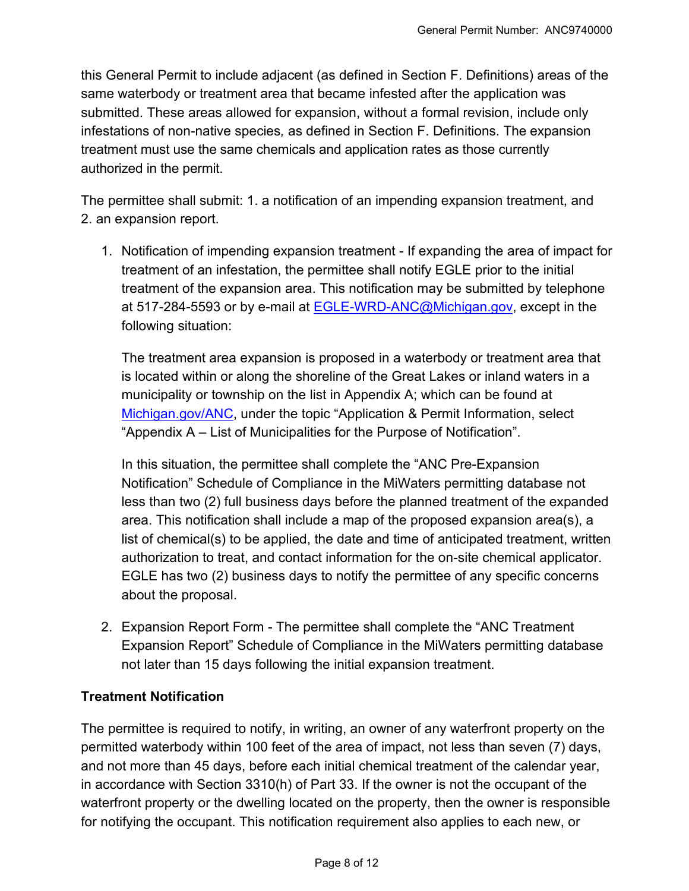this General Permit to include adjacent (as defined in Section F. Definitions) areas of the same waterbody or treatment area that became infested after the application was submitted. These areas allowed for expansion, without a formal revision, include only infestations of non-native species*,* as defined in Section F. Definitions. The expansion treatment must use the same chemicals and application rates as those currently authorized in the permit.

The permittee shall submit: 1. a notification of an impending expansion treatment, and 2. an expansion report.

1. Notification of impending expansion treatment - If expanding the area of impact for treatment of an infestation, the permittee shall notify EGLE prior to the initial treatment of the expansion area. This notification may be submitted by telephone at 517-284-5593 or by e-mail at [EGLE-WRD-ANC@Michigan.gov,](mailto:EGLE-wrd-anc@michigan.gov) except in the following situation:

The treatment area expansion is proposed in a waterbody or treatment area that is located within or along the shoreline of the Great Lakes or inland waters in a municipality or township on the list in Appendix A; which can be found at [Michigan.gov/ANC,](http://www.michigan.gov/anc) under the topic "Application & Permit Information, select "Appendix A – List of Municipalities for the Purpose of Notification".

In this situation, the permittee shall complete the "ANC Pre-Expansion Notification" Schedule of Compliance in the MiWaters permitting database not less than two (2) full business days before the planned treatment of the expanded area. This notification shall include a map of the proposed expansion area(s), a list of chemical(s) to be applied, the date and time of anticipated treatment, written authorization to treat, and contact information for the on-site chemical applicator. EGLE has two (2) business days to notify the permittee of any specific concerns about the proposal.

2. Expansion Report Form - The permittee shall complete the "ANC Treatment Expansion Report" Schedule of Compliance in the MiWaters permitting database not later than 15 days following the initial expansion treatment.

# **Treatment Notification**

The permittee is required to notify, in writing, an owner of any waterfront property on the permitted waterbody within 100 feet of the area of impact, not less than seven (7) days, and not more than 45 days, before each initial chemical treatment of the calendar year, in accordance with Section 3310(h) of Part 33. If the owner is not the occupant of the waterfront property or the dwelling located on the property, then the owner is responsible for notifying the occupant. This notification requirement also applies to each new, or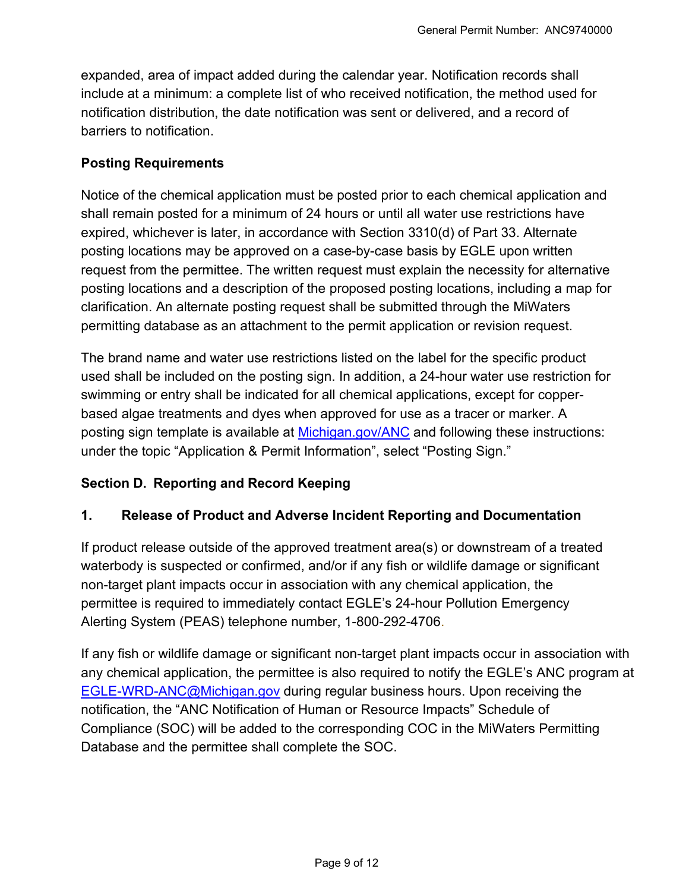expanded, area of impact added during the calendar year. Notification records shall include at a minimum: a complete list of who received notification, the method used for notification distribution, the date notification was sent or delivered, and a record of barriers to notification.

#### **Posting Requirements**

Notice of the chemical application must be posted prior to each chemical application and shall remain posted for a minimum of 24 hours or until all water use restrictions have expired, whichever is later, in accordance with Section 3310(d) of Part 33. Alternate posting locations may be approved on a case-by-case basis by EGLE upon written request from the permittee. The written request must explain the necessity for alternative posting locations and a description of the proposed posting locations, including a map for clarification. An alternate posting request shall be submitted through the MiWaters permitting database as an attachment to the permit application or revision request.

The brand name and water use restrictions listed on the label for the specific product used shall be included on the posting sign. In addition, a 24-hour water use restriction for swimming or entry shall be indicated for all chemical applications, except for copperbased algae treatments and dyes when approved for use as a tracer or marker. A posting sign template is available at [Michigan.gov/ANC](http://www.michigan.gov/anc) and following these instructions: under the topic "Application & Permit Information", select "Posting Sign."

#### **Section D. Reporting and Record Keeping**

#### **1. Release of Product and Adverse Incident Reporting and Documentation**

If product release outside of the approved treatment area(s) or downstream of a treated waterbody is suspected or confirmed, and/or if any fish or wildlife damage or significant non-target plant impacts occur in association with any chemical application, the permittee is required to immediately contact EGLE's 24-hour Pollution Emergency Alerting System (PEAS) telephone number, 1-800-292-4706.

If any fish or wildlife damage or significant non-target plant impacts occur in association with any chemical application, the permittee is also required to notify the EGLE's ANC program at **EGLE-WRD-ANC@Michigan.gov** during regular business hours. Upon receiving the notification, the "ANC Notification of Human or Resource Impacts" Schedule of Compliance (SOC) will be added to the corresponding COC in the MiWaters Permitting Database and the permittee shall complete the SOC.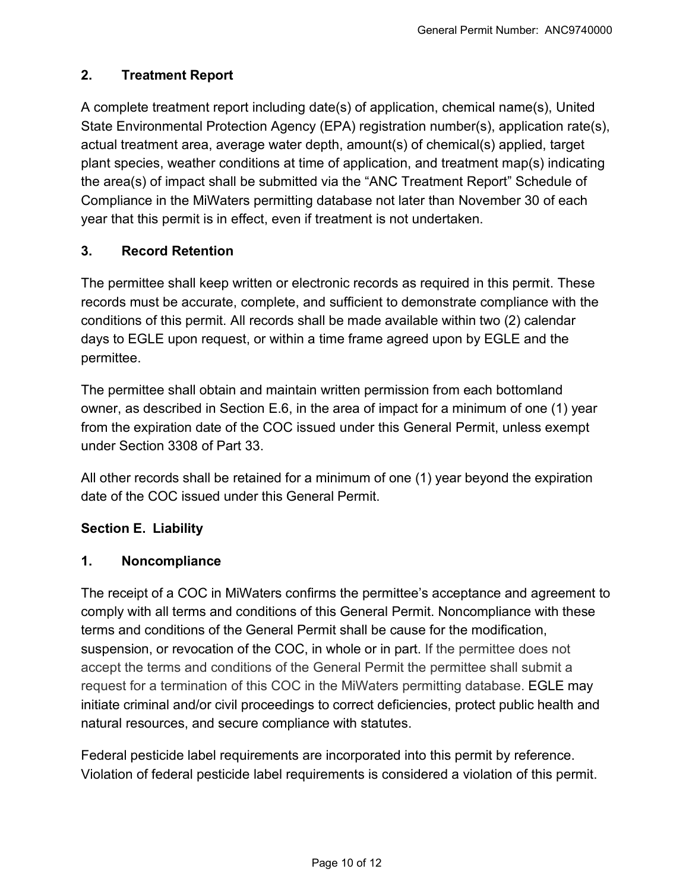# **2. Treatment Report**

A complete treatment report including date(s) of application, chemical name(s), United State Environmental Protection Agency (EPA) registration number(s), application rate(s), actual treatment area, average water depth, amount(s) of chemical(s) applied, target plant species, weather conditions at time of application, and treatment map(s) indicating the area(s) of impact shall be submitted via the "ANC Treatment Report" Schedule of Compliance in the MiWaters permitting database not later than November 30 of each year that this permit is in effect, even if treatment is not undertaken.

#### **3. Record Retention**

The permittee shall keep written or electronic records as required in this permit. These records must be accurate, complete, and sufficient to demonstrate compliance with the conditions of this permit. All records shall be made available within two (2) calendar days to EGLE upon request, or within a time frame agreed upon by EGLE and the permittee.

The permittee shall obtain and maintain written permission from each bottomland owner, as described in Section E.6, in the area of impact for a minimum of one (1) year from the expiration date of the COC issued under this General Permit, unless exempt under Section 3308 of Part 33.

All other records shall be retained for a minimum of one (1) year beyond the expiration date of the COC issued under this General Permit.

#### **Section E. Liability**

#### **1. Noncompliance**

The receipt of a COC in MiWaters confirms the permittee's acceptance and agreement to comply with all terms and conditions of this General Permit. Noncompliance with these terms and conditions of the General Permit shall be cause for the modification, suspension, or revocation of the COC, in whole or in part. If the permittee does not accept the terms and conditions of the General Permit the permittee shall submit a request for a termination of this COC in the MiWaters permitting database. EGLE may initiate criminal and/or civil proceedings to correct deficiencies, protect public health and natural resources, and secure compliance with statutes.

Federal pesticide label requirements are incorporated into this permit by reference. Violation of federal pesticide label requirements is considered a violation of this permit.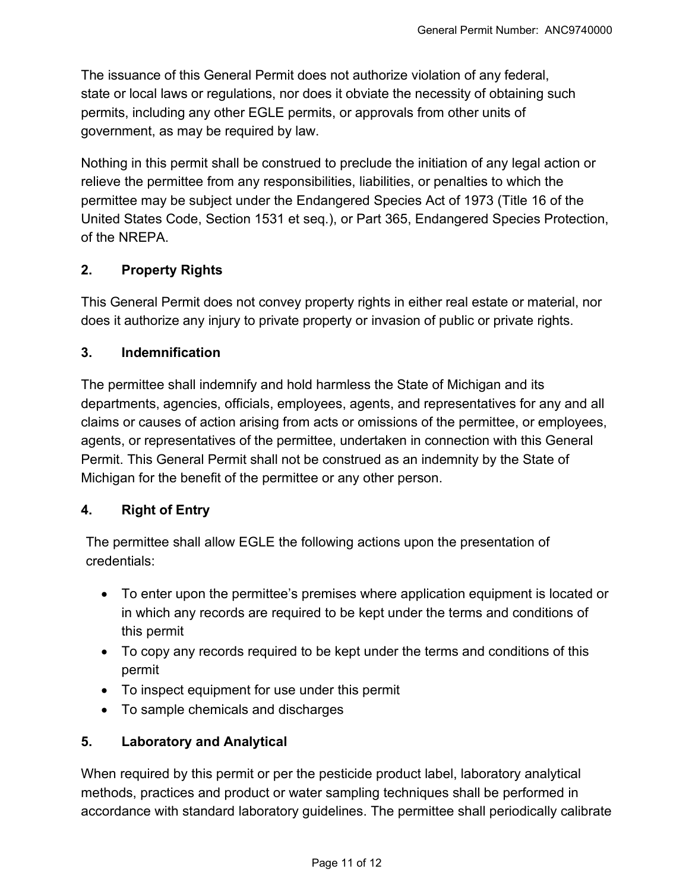The issuance of this General Permit does not authorize violation of any federal, state or local laws or regulations, nor does it obviate the necessity of obtaining such permits, including any other EGLE permits, or approvals from other units of government, as may be required by law.

Nothing in this permit shall be construed to preclude the initiation of any legal action or relieve the permittee from any responsibilities, liabilities, or penalties to which the permittee may be subject under the Endangered Species Act of 1973 (Title 16 of the United States Code, Section 1531 et seq.), or Part 365, Endangered Species Protection, of the NREPA.

#### **2. Property Rights**

This General Permit does not convey property rights in either real estate or material, nor does it authorize any injury to private property or invasion of public or private rights.

#### **3. Indemnification**

The permittee shall indemnify and hold harmless the State of Michigan and its departments, agencies, officials, employees, agents, and representatives for any and all claims or causes of action arising from acts or omissions of the permittee, or employees, agents, or representatives of the permittee, undertaken in connection with this General Permit. This General Permit shall not be construed as an indemnity by the State of Michigan for the benefit of the permittee or any other person.

# **4. Right of Entry**

The permittee shall allow EGLE the following actions upon the presentation of credentials:

- To enter upon the permittee's premises where application equipment is located or in which any records are required to be kept under the terms and conditions of this permit
- To copy any records required to be kept under the terms and conditions of this permit
- To inspect equipment for use under this permit
- To sample chemicals and discharges

# **5. Laboratory and Analytical**

When required by this permit or per the pesticide product label, laboratory analytical methods, practices and product or water sampling techniques shall be performed in accordance with standard laboratory guidelines. The permittee shall periodically calibrate